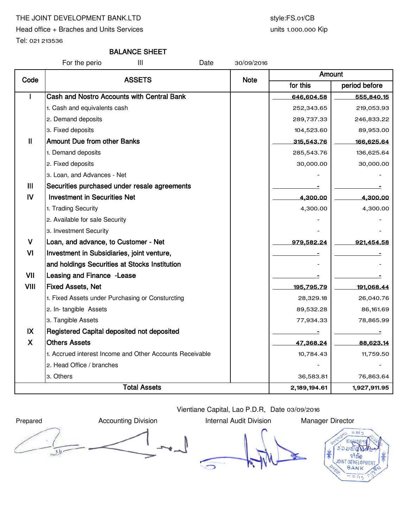# THE JOINT DEVELOPMENT BANK.LTD style:FS.01/CB

Head office + Braches and Units Services

units 1.000.000 Kip

Tel: 021 213536

# BALANCE SHEET

For the perio III Date 30/09/2016

| Code           | <b>ASSETS</b>                                            | <b>Note</b> | Amount     |               |  |
|----------------|----------------------------------------------------------|-------------|------------|---------------|--|
|                |                                                          |             | for this   | period before |  |
|                | Cash and Nostro Accounts with Central Bank               |             | 646,604.58 | 555,840.15    |  |
|                | 1. Cash and equivalents cash                             |             | 252,343.65 | 219,053.93    |  |
|                | 2. Demand deposits                                       |             | 289,737.33 | 246,833.22    |  |
|                | 3. Fixed deposits                                        |             | 104,523.60 | 89,953.00     |  |
| $\mathbf{II}$  | <b>Amount Due from other Banks</b>                       |             | 315,543.76 | 166,625.64    |  |
|                | 1. Demand deposits                                       |             | 285,543.76 | 136,625.64    |  |
|                | 2. Fixed deposits                                        |             | 30,000.00  | 30,000.00     |  |
|                | 3. Loan, and Advances - Net                              |             |            |               |  |
| $\mathbf{III}$ | Securities purchased under resale agreements             |             |            |               |  |
| IV             | <b>Investment in Securities Net</b>                      |             | 4,300.00   | 4,300.00      |  |
|                | 1. Trading Security                                      |             | 4,300.00   | 4,300.00      |  |
|                | 2. Available for sale Security                           |             |            |               |  |
|                | 3. Investment Security                                   |             |            |               |  |
| $\mathsf{V}$   | Loan, and advance, to Customer - Net                     |             | 979,582.24 | 921,454.58    |  |
| VI             | Investment in Subsidiaries, joint venture,               |             |            |               |  |
|                | and holdings Securities at Stocks Institution            |             |            |               |  |
| VII            | Leasing and Finance - Lease                              |             |            |               |  |
| VIII           | <b>Fixed Assets, Net</b>                                 |             | 195,795.79 | 191,068.44    |  |
|                | 1. Fixed Assets under Purchasing or Consturcting         |             | 28,329.18  | 26,040.76     |  |
|                | 2. In-tangible Assets                                    |             | 89,532.28  | 86,161.69     |  |
|                | 3. Tangible Assets                                       |             | 77,934.33  | 78,865.99     |  |
| IX             | Registered Capital deposited not deposited               |             |            | Ξ             |  |
| X              | <b>Others Assets</b>                                     |             | 47,368.24  | 88,623.14     |  |
|                | 1. Accrued interest Income and Other Accounts Receivable |             | 10,784.43  | 11,759.50     |  |
|                | 2. Head Office / branches                                |             |            |               |  |
|                | 3. Others                                                |             | 36,583.81  | 76,863.64     |  |
|                | <b>Total Assets</b>                                      |             |            | 1,927,911.95  |  |

Vientiane Capital, Lao P.D.R, Date 03/09/2016

Prepared **Accounting Division** Internal Audit Division Manager Director  $\mathcal{D}$ 

 $\sqrt{2}$ 

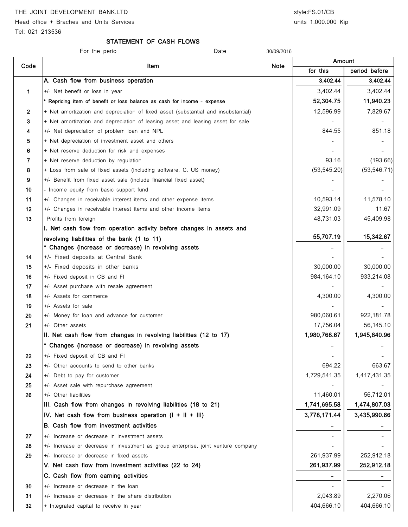THE JOINT DEVELOPMENT BANK.LTD style:FS.01/CB

Head office + Braches and Units Services and Units 1.000.000 Kip

Tel: 021 213536

# STATEMENT OF CASH FLOWS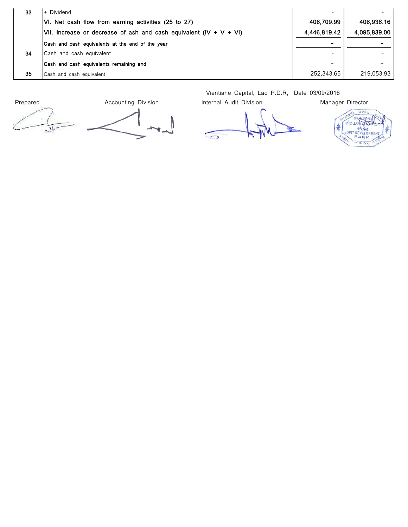| 33 | l+ Dividend                                                        | $\overline{\phantom{0}}$ |              |
|----|--------------------------------------------------------------------|--------------------------|--------------|
|    | VI. Net cash flow from earning activities (25 to 27)               | 406,709.99               | 406,936.16   |
|    | VII. Increase or decrease of ash and cash equivalent (IV + V + VI) | 4,446,819.42             | 4,095,839.00 |
|    | Cash and cash equivalents at the end of the year                   | $\blacksquare$           |              |
| 34 | Cash and cash equivalent                                           | $\overline{\phantom{0}}$ |              |
|    | Cash and cash equivalents remaining end                            | $\blacksquare$           |              |
| 35 | Cash and cash equivalent                                           | 252.343.65               | 219,053.93   |

Prepared **Accounting Division** Internal Audit Division Manager Director I  $\mathcal{F}_{\mathcal{A}}$ 

Vientiane Capital, Lao P.D.R, Date 03/09/2016

 $56.817$ จ้อมพินตร 米 **SUBRATION**  $-15.7$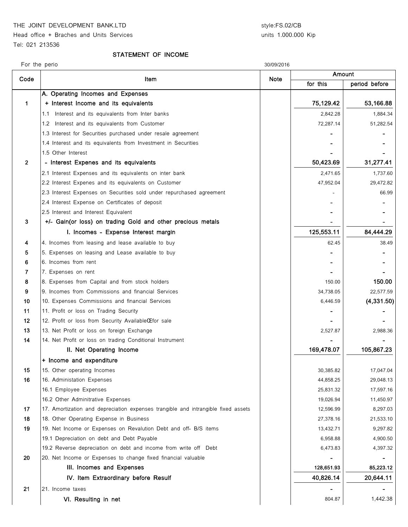THE JOINT DEVELOPMENT BANK.LTD style:FS.02/CB

Head office + Braches and Units Services Tel: 021 213536

units 1.000.000 Kip

For the perio 30/09/2016

#### STATEMENT OF INCOME

| Code            | Item                                                                              | <b>Note</b> | Amount     |               |
|-----------------|-----------------------------------------------------------------------------------|-------------|------------|---------------|
|                 |                                                                                   |             | for this   | period before |
|                 | A. Operating Incomes and Expenses                                                 |             |            |               |
| $\mathbf 1$     | + Interest Income and its equivalents                                             |             | 75,129.42  | 53,166.88     |
|                 | Interest and its equivalents from Inter banks<br>1.1                              |             | 2,842.28   | 1,884.34      |
|                 | 1.2<br>Interest and its equivalents from Customer                                 |             | 72,287.14  | 51,282.54     |
|                 | 1.3 Interest for Securities purchased under resale agreement                      |             |            |               |
|                 | 1.4 Interest and its equivalents from Investment in Securities                    |             |            |               |
|                 | 1.5 Other Interest                                                                |             |            |               |
| $\overline{2}$  | - Interest Expenes and its equivalents                                            |             | 50,423.69  | 31,277.41     |
|                 | 2.1 Interest Expenses and its equivalents on inter bank                           |             | 2,471.65   | 1,737.60      |
|                 | 2.2 Interest Expenes and its equivalents on Customer                              |             | 47,952.04  | 29,472.82     |
|                 | 2.3 Interest Expenses on Securities sold under repurchased agreement              |             |            | 66.99         |
|                 | 2.4 Interest Expense on Certificates of deposit                                   |             |            |               |
|                 | 2.5 Interest and Interest Equivalent                                              |             |            |               |
| 3               | +/- Gain(or loss) on trading Gold and other precious metals                       |             |            |               |
|                 | I. Incomes - Expense Interest margin                                              |             | 125,553.11 | 84,444.29     |
| 4               | 4. Incomes from leasing and lease available to buy                                |             | 62.45      | 38.49         |
| 5               | 5. Expenses on leasing and Lease available to buy                                 |             |            |               |
| 6               | 6. Incomes from rent                                                              |             |            |               |
| 7               | 7. Expenses on rent                                                               |             |            |               |
| 8               | 8. Expenses from Capital and from stock holders                                   |             | 150.00     | 150.00        |
| 9               | 9. Incomes from Commissions and financial Services                                |             | 34,738.05  | 22,577.59     |
| 10              | 10. Expenses Commissions and financial Services                                   |             | 6,446.59   | (4, 331.50)   |
| 11              | 11. Profit or loss on Trading Security                                            |             |            |               |
| 12 <sup>°</sup> | 12. Profit or loss from Security AvailableCEfor sale                              |             |            |               |
| 13              | 13. Net Profit or loss on foreign Exchange                                        |             | 2,527.87   | 2,988.36      |
| 14              | 14. Net Profit or loss on trading Conditional Instrument                          |             |            |               |
|                 | II. Net Operating Income                                                          |             | 169,478.07 | 105,867.23    |
|                 | + Income and expenditure                                                          |             |            |               |
| 15              | 15. Other operating Incomes                                                       |             | 30,385.82  | 17,047.04     |
| 16              | 16. Administation Expenses                                                        |             | 44,858.25  | 29,048.13     |
|                 | 16.1 Employee Expenses                                                            |             | 25,831.32  | 17,597.16     |
|                 | 16.2 Other Adminitrative Expenses                                                 |             | 19,026.94  | 11,450.97     |
| 17              | 17. Amortization and depreciation expenses trangible and intrangible fixed assets |             | 12,596.99  | 8,297.03      |
| 18              | 18. Other Operating Expense in Business                                           |             | 27,378.16  | 21,533.10     |
| 19              | 19. Net Income or Expenses on Revalution Debt and off- B/S items                  |             | 13,432.71  | 9,297.82      |
|                 | 19.1 Depreciation on debt and Debt Payable                                        |             | 6,958.88   | 4,900.50      |
|                 | 19.2 Reverse depreciation on debt and income from write off Debt                  |             | 6,473.83   | 4,397.32      |
| 20              | 20. Net Income or Expenses to change fixed financial valuable                     |             |            |               |
|                 | III. Incomes and Expenses                                                         |             | 128,651.93 | 85,223.12     |
|                 | IV. Item Extraordinary before Resulf                                              |             | 40,826.14  | 20,644.11     |
| 21              | 21. Income taxes                                                                  |             |            |               |
|                 | VI. Resulting in net                                                              |             | 804.87     | 1,442.38      |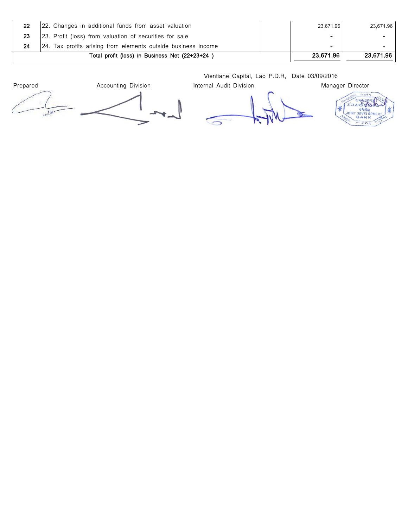| 22. Changes in additional funds from asset valuation          | 23.671.96 | 23.671.96      |
|---------------------------------------------------------------|-----------|----------------|
| 23. Profit (loss) from valuation of securities for sale       |           |                |
| 24. Tax profits arising from elements outside business income | -         | $\blacksquare$ |
| Total profit (loss) in Business Net (22+23+24)                | 23,671.96 | 23.671.96      |

Vientiane Capital, Lao P.D.R, Date 03/09/2016

Prepared **Accounting Division** Internal Audit Division Manager Director  $5<sub>h</sub>$  $\rightarrow$ 

**SOUTHERNAL SOLUTION** \*